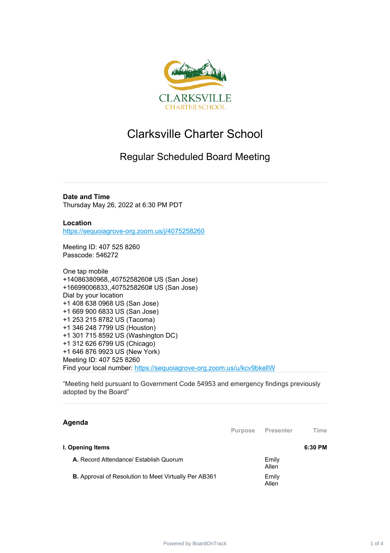

# Clarksville Charter School

## Regular Scheduled Board Meeting

**Date and Time** Thursday May 26, 2022 at 6:30 PM PDT

**Location** [https://sequoiagrove-org.zoom.us/j/4075258260](https://www.google.com/url?q=https://sequoiagrove-org.zoom.us/j/4075258260&sa=D&source=calendar&ust=1651610380444612&usg=AOvVaw1bnFyQCA0d4NzSE9JRFe1N)

Meeting ID: 407 525 8260 Passcode: 546272

One tap mobile +14086380968,,4075258260# US (San Jose) +16699006833,,4075258260# US (San Jose) Dial by your location +1 408 638 0968 US (San Jose) +1 669 900 6833 US (San Jose) +1 253 215 8782 US (Tacoma) +1 346 248 7799 US (Houston) +1 301 715 8592 US (Washington DC) +1 312 626 6799 US (Chicago) +1 646 876 9923 US (New York) Meeting ID: 407 525 8260 Find your local number: [https://sequoiagrove-org.zoom.us/u/kcv9bkellW](https://www.google.com/url?q=https://sequoiagrove-org.zoom.us/u/kcv9bkellW&sa=D&source=calendar&ust=1651610380444612&usg=AOvVaw2Cs5S-z2NrEM_JVizA5F7Y)

"Meeting held pursuant to Government Code 54953 and emergency findings previously adopted by the Board"

### **Agenda**

|                                                              | <b>Purpose</b> | Presenter      | ⊺ime    |
|--------------------------------------------------------------|----------------|----------------|---------|
| I. Opening Items                                             |                |                | 6:30 PM |
| A. Record Attendance/ Establish Quorum                       |                | Emily<br>Allen |         |
| <b>B.</b> Approval of Resolution to Meet Virtually Per AB361 |                | Emily<br>Allen |         |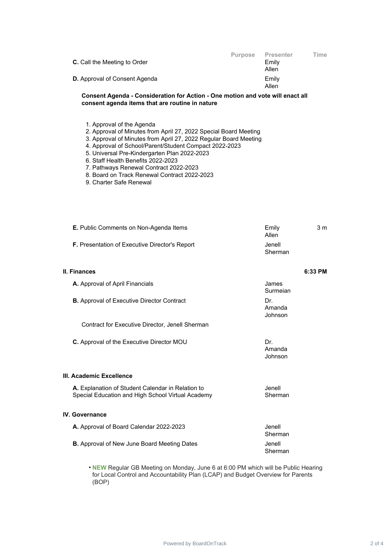| <b>C.</b> Call the Meeting to Order  | <b>Purpose</b> | <b>Presenter</b><br>Emily<br>Allen | Time |
|--------------------------------------|----------------|------------------------------------|------|
| <b>D.</b> Approval of Consent Agenda |                | Emily<br>Allen                     |      |

#### **Consent Agenda - Consideration for Action - One motion and vote will enact all consent agenda items that are routine in nature**

- 1. Approval of the Agenda
- 2. Approval of Minutes from April 27, 2022 Special Board Meeting
- 3. Approval of Minutes from April 27, 2022 Regular Board Meeting
- 4. Approval of School/Parent/Student Compact 2022-2023
- 5. Universal Pre-Kindergarten Plan 2022-2023
- 6. Staff Health Benefits 2022-2023
- 7. Pathways Renewal Contract 2022-2023
- 8. Board on Track Renewal Contract 2022-2023
- 9. Charter Safe Renewal

| <b>E.</b> Public Comments on Non-Agenda Items         | Emily<br>Allen    | 3 m |
|-------------------------------------------------------|-------------------|-----|
| <b>F.</b> Presentation of Executive Director's Report | Jenell<br>Sherman |     |

### **II. Finances 6:33 PM A.** Approval of April Financials **A.** Approval of April Financials Surmeian **B.** Approval of Executive Director Contract **DR.** Dr. Amanda Johnson Contract for Executive Director, Jenell Sherman

Amanda Johnson

Jenell Sherman

**C.** Approval of the Executive Director MOU Dr.

**III. Academic Excellence**

**A.** Explanation of Student Calendar in Relation to Special Education and High School Virtual Academy

#### **IV. Governance**

| A. Approval of Board Calendar 2022-2023            | Jenell<br>Sherman |
|----------------------------------------------------|-------------------|
| <b>B.</b> Approval of New June Board Meeting Dates | Jenell<br>Sherman |

• **NEW** Regular GB Meeting on Monday, June 6 at 6:00 PM which will be Public Hearing for Local Control and Accountability Plan (LCAP) and Budget Overview for Parents (BOP)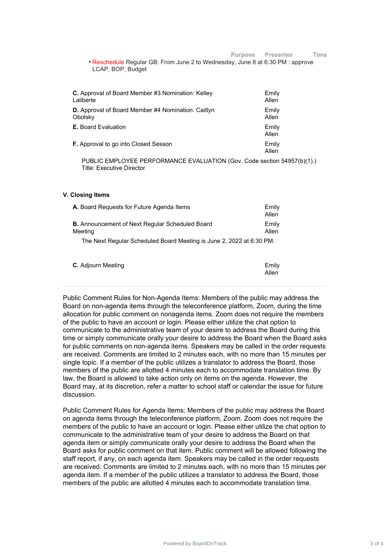Allen

| <b>C.</b> Approval of Board Member #3 Nomination: Kelley  | Emily          |
|-----------------------------------------------------------|----------------|
| Laliberte                                                 | Allen          |
| <b>D.</b> Approval of Board Member #4 Nomination: Caitlyn | Emily          |
| Obolsky                                                   | Allen          |
| <b>E.</b> Board Evaluation                                | Emily<br>Allen |
| <b>F.</b> Approval to go into Closed Sesson               | Emily<br>Allen |

PUBLIC EMPLOYEE PERFORMANCE EVALUATION (Gov. Code section 54957(b)(1).) Title: Executive Director

#### **V. Closing Items**

| <b>A.</b> Board Requests for Future Agenda Items                     | Emily<br>Allen |
|----------------------------------------------------------------------|----------------|
| <b>B.</b> Announcement of Next Regular Scheduled Board<br>Meeting    | Emily<br>Allen |
| The Next Regular Scheduled Board Meeting is June 2, 2022 at 6:30 PM. |                |

**C.** Adjourn Meeting **Emily C.** Adjourn Meeting **Emily** 

Public Comment Rules for Non-Agenda Items: Members of the public may address the Board on non-agenda items through the teleconference platform, Zoom, during the time allocation for public comment on nonagenda items. Zoom does not require the members of the public to have an account or login. Please either utilize the chat option to communicate to the administrative team of your desire to address the Board during this time or simply communicate orally your desire to address the Board when the Board asks for public comments on non-agenda items. Speakers may be called in the order requests are received. Comments are limited to 2 minutes each, with no more than 15 minutes per single topic. If a member of the public utilizes a translator to address the Board, those members of the public are allotted 4 minutes each to accommodate translation time. By law, the Board is allowed to take action only on items on the agenda. However, the Board may, at its discretion, refer a matter to school staff or calendar the issue for future discussion.

Public Comment Rules for Agenda Items: Members of the public may address the Board on agenda items through the teleconference platform, Zoom. Zoom does not require the members of the public to have an account or login. Please either utilize the chat option to communicate to the administrative team of your desire to address the Board on that agenda item or simply communicate orally your desire to address the Board when the Board asks for public comment on that item. Public comment will be allowed following the staff report, if any, on each agenda item. Speakers may be called in the order requests are received. Comments are limited to 2 minutes each, with no more than 15 minutes per agenda item. If a member of the public utilizes a translator to address the Board, those members of the public are allotted 4 minutes each to accommodate translation time.